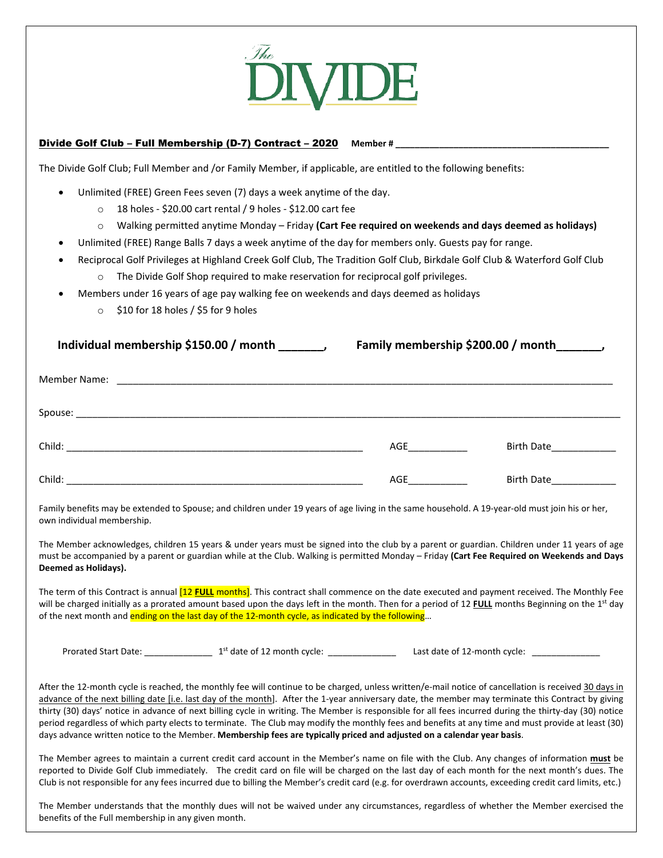

## Divide Golf Club - Full Membership (D-7) Contract - 2020 Member #

The Divide Golf Club; Full Member and /or Family Member, if applicable, are entitled to the following benefits:

- Unlimited (FREE) Green Fees seven (7) days a week anytime of the day.
	- o 18 holes ‐ \$20.00 cart rental / 9 holes ‐ \$12.00 cart fee
	- o Walking permitted anytime Monday Friday **(Cart Fee required on weekends and days deemed as holidays)**
- Unlimited (FREE) Range Balls 7 days a week anytime of the day for members only. Guests pay for range.
- Reciprocal Golf Privileges at Highland Creek Golf Club, The Tradition Golf Club, Birkdale Golf Club & Waterford Golf Club
	- $\circ$  The Divide Golf Shop required to make reservation for reciprocal golf privileges.
- Members under 16 years of age pay walking fee on weekends and days deemed as holidays
	- o \$10 for 18 holes / \$5 for 9 holes

| Individual membership \$150.00 / month | Family membership \$200.00 / month |  |  |  |
|----------------------------------------|------------------------------------|--|--|--|
| Member Name:                           |                                    |  |  |  |

| Spouse: |     |                   |
|---------|-----|-------------------|
| Child:  | AGE | <b>Birth Date</b> |
| Child:  | AGE | <b>Birth Date</b> |

Family benefits may be extended to Spouse; and children under 19 years of age living in the same household. A 19-year-old must join his or her, own individual membership.

The Member acknowledges, children 15 years & under years must be signed into the club by a parent or guardian. Children under 11 years of age must be accompanied by a parent or guardian while at the Club. Walking is permitted Monday – Friday **(Cart Fee Required on Weekends and Days Deemed as Holidays).**

The term of this Contract is annual [12 **FULL** months]. This contract shall commence on the date executed and payment received. The Monthly Fee will be charged initially as a prorated amount based upon the days left in the month. Then for a period of 12 **FULL** months Beginning on the 1st day of the next month and ending on the last day of the 12-month cycle, as indicated by the following...

Prorated Start Date: \_\_\_\_\_\_\_\_\_\_\_\_\_\_ 1st date of 12 month cycle: \_\_\_\_\_\_\_\_\_\_\_\_\_\_ Last date of 12‐month cycle: \_\_\_\_\_\_\_\_\_\_\_\_\_\_

After the 12-month cycle is reached, the monthly fee will continue to be charged, unless written/e-mail notice of cancellation is received 30 days in advance of the next billing date [i.e. last day of the month]. After the 1-year anniversary date, the member may terminate this Contract by giving thirty (30) days' notice in advance of next billing cycle in writing. The Member is responsible for all fees incurred during the thirty‐day (30) notice period regardless of which party elects to terminate. The Club may modify the monthly fees and benefits at any time and must provide at least (30) days advance written notice to the Member. **Membership fees are typically priced and adjusted on a calendar year basis**.

The Member agrees to maintain a current credit card account in the Member's name on file with the Club. Any changes of information **must** be reported to Divide Golf Club immediately. The credit card on file will be charged on the last day of each month for the next month's dues. The Club is not responsible for any fees incurred due to billing the Member's credit card (e.g. for overdrawn accounts, exceeding credit card limits, etc.)

The Member understands that the monthly dues will not be waived under any circumstances, regardless of whether the Member exercised the benefits of the Full membership in any given month.